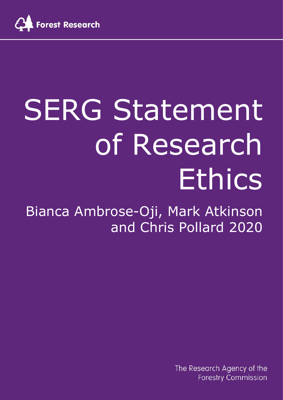

# SERG Statement of Research Ethics

Bianca Ambrose-Oji, Mark Atkinson and Chris Pollard 2020

> The Research Agency of the **Forestry Commission**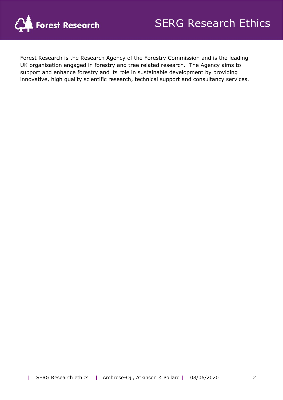

Forest Research is the Research Agency of the Forestry Commission and is the leading UK organisation engaged in forestry and tree related research. The Agency aims to support and enhance forestry and its role in sustainable development by providing innovative, high quality scientific research, technical support and consultancy services.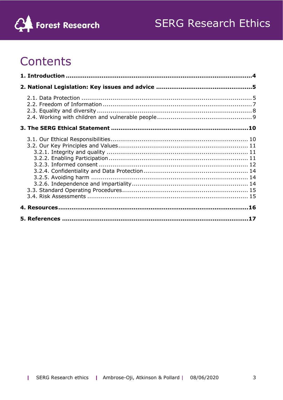



# Contents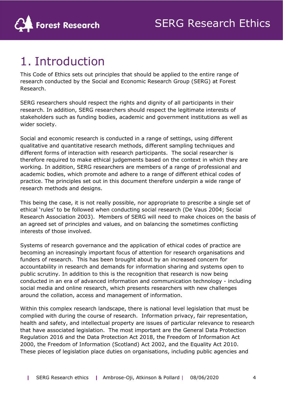

# <span id="page-3-0"></span>1. Introduction

This Code of Ethics sets out principles that should be applied to the entire range of research conducted by the Social and Economic Research Group (SERG) at Forest Research.

SERG researchers should respect the rights and dignity of all participants in their research. In addition, SERG researchers should respect the legitimate interests of stakeholders such as funding bodies, academic and government institutions as well as wider society.

Social and economic research is conducted in a range of settings, using different qualitative and quantitative research methods, different sampling techniques and different forms of interaction with research participants. The social researcher is therefore required to make ethical judgements based on the context in which they are working. In addition, SERG researchers are members of a range of professional and academic bodies, which promote and adhere to a range of different ethical codes of practice. The principles set out in this document therefore underpin a wide range of research methods and designs.

This being the case, it is not really possible, nor appropriate to prescribe a single set of ethical 'rules' to be followed when conducting social research (De Vaus 2004; Social Research Association 2003). Members of SERG will need to make choices on the basis of an agreed set of principles and values, and on balancing the sometimes conflicting interests of those involved.

Systems of research governance and the application of ethical codes of practice are becoming an increasingly important focus of attention for research organisations and funders of research. This has been brought about by an increased concern for accountability in research and demands for information sharing and systems open to public scrutiny. In addition to this is the recognition that research is now being conducted in an era of advanced information and communication technology - including social media and online research, which presents researchers with new challenges around the collation, access and management of information.

Within this complex research landscape, there is national level legislation that must be complied with during the course of research. Information privacy, fair representation, health and safety, and intellectual property are issues of particular relevance to research that have associated legislation. The most important are the General Data Protection Regulation 2016 and the Data Protection Act 2018, the Freedom of Information Act 2000, the Freedom of Information (Scotland) Act 2002, and the Equality Act 2010. These pieces of legislation place duties on organisations, including public agencies and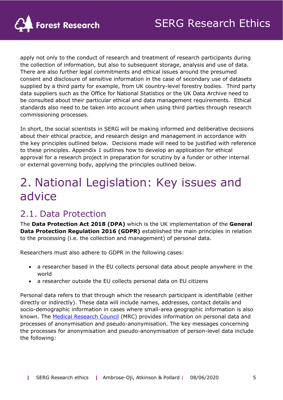

apply not only to the conduct of research and treatment of research participants during the collection of information, but also to subsequent storage, analysis and use of data. There are also further legal commitments and ethical issues around the presumed consent and disclosure of sensitive information in the case of secondary use of datasets supplied by a third party for example, from UK country-level forestry bodies. Third party data suppliers such as the Office for National Statistics or the UK Data Archive need to be consulted about their particular ethical and data management requirements. Ethical standards also need to be taken into account when using third parties through research commissioning processes.

In short, the social scientists in SERG will be making informed and deliberative decisions about their ethical practice, and research design and management in accordance with the key principles outlined below. Decisions made will need to be justified with reference to these principles. Appendix 1 outlines how to develop an application for ethical approval for a research project in preparation for scrutiny by a funder or other internal or external governing body, applying the principles outlined below.

# <span id="page-4-0"></span>2. National Legislation: Key issues and advice

## <span id="page-4-1"></span>2.1. Data Protection

The **Data Protection Act 2018 (DPA)** which is the UK implementation of the **General Data Protection Regulation 2016 (GDPR)** established the main principles in relation to the processing (i.e. the collection and management) of personal data.

Researchers must also adhere to GDPR in the following cases:

- a researcher based in the EU collects personal data about people anywhere in the world
- a researcher outside the EU collects personal data on EU citizens

Personal data refers to that through which the research participant is identifiable (either directly or indirectly). These data will include names, addresses, contact details and socio-demographic information in cases where small-area geographic information is also known. The [Medical Research Council](https://mrc.ukri.org/documents/pdf/gdpr-guidance-note-5-identifiability-anonymisation-and-pseudonymisation/) (MRC) provides information on personal data and processes of anonymisation and pseudo-anonymisation. The key messages concerning the processes for anonymisation and pseudo-anonymisation of person-level data include the following: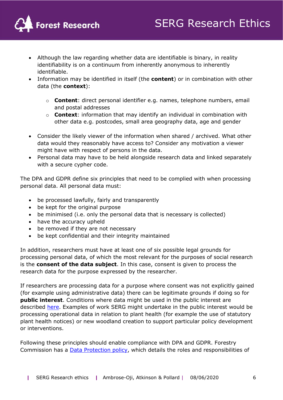

- Although the law regarding whether data are identifiable is binary, in reality identifiability is on a continuum from inherently anonymous to inherently identifiable.
- Information may be identified in itself (the **content**) or in combination with other data (the **context**):
	- o **Content**: direct personal identifier e.g. names, telephone numbers, email and postal addresses
	- o **Context**: information that may identify an individual in combination with other data e.g. postcodes, small area geography data, age and gender
- Consider the likely viewer of the information when shared / archived. What other data would they reasonably have access to? Consider any motivation a viewer might have with respect of persons in the data.
- Personal data may have to be held alongside research data and linked separately with a secure cypher code.

The DPA and GDPR define six principles that need to be complied with when processing personal data. All personal data must:

- be processed lawfully, fairly and transparently
- be kept for the original purpose
- be minimised (i.e. only the personal data that is necessary is collected)
- have the accuracy upheld
- be removed if they are not necessary
- be kept confidential and their integrity maintained

In addition, researchers must have at least one of six possible legal grounds for processing personal data, of which the most relevant for the purposes of social research is the **consent of the data subject**. In this case, consent is given to process the research data for the purpose expressed by the researcher.

If researchers are processing data for a purpose where consent was not explicitly gained (for example using administrative data) there can be legitimate grounds if doing so for **public interest**. Conditions where data might be used in the public interest are described [here.](https://ico.org.uk/for-organisations/guide-to-data-protection/guide-to-the-general-data-protection-regulation-gdpr/special-category-data/what-are-the-substantial-public-interest-conditions/) Examples of work SERG might undertake in the public interest would be processing operational data in relation to plant health (for example the use of statutory plant health notices) or new woodland creation to support particular policy development or interventions.

Following these principles should enable compliance with DPA and GDPR. Forestry Commission has a **Data Protection policy**, which details the roles and responsibilities of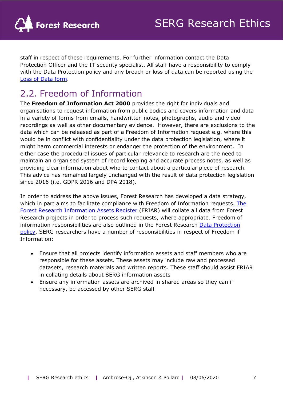staff in respect of these requirements. For further information contact the Data Protection Officer and the IT security specialist. All staff have a responsibility to comply with the Data Protection policy and any breach or loss of data can be reported using the [Loss of Data form.](https://forestresearch.sharepoint.com/:w:/r/sites/FR_Intranet_IT/_layouts/15/Doc.aspx?sourcedoc=%7B9ADB597C-208A-4535-9672-392D5A5AA545%7D&file=Loss%20of%20Data%20Form.docx&action=default&mobileredirect=true&DefaultItemOpen=1)

## <span id="page-6-0"></span>2.2. Freedom of Information

The **Freedom of Information Act 2000** provides the right for individuals and organisations to request information from public bodies and covers information and data in a variety of forms from emails, handwritten notes, photographs, audio and video recordings as well as other documentary evidence. However, there are exclusions to the data which can be released as part of a Freedom of Information request e.g. where this would be in conflict with confidentiality under the data protection legislation, where it might harm commercial interests or endanger the protection of the environment. In either case the procedural issues of particular relevance to research are the need to maintain an organised system of record keeping and accurate process notes, as well as providing clear information about who to contact about a particular piece of research. This advice has remained largely unchanged with the result of data protection legislation since 2016 (i.e. GDPR 2016 and DPA 2018).

In order to address the above issues, Forest Research has developed a data strategy, which in part aims to facilitate compliance with Freedom of Information requests. The [Forest Research Information Assets Register](https://forestresearch.sharepoint.com/sites/FRIAR/SitePages/Forest-Research-Data-Stratagy.aspx) (FRIAR) will collate all data from Forest Research projects in order to process such requests, where appropriate. Freedom of information responsibilities are also outlined in the Forest Research Data Protection [policy.](https://forestresearch.sharepoint.com/sites/FR_Intranet_CEOOffice/Docs%20for%20CE%20intranet/FC%20Data%20Protection%20Policy%20-%20Final%20-%20Sept%202019.pdf) SERG researchers have a number of responsibilities in respect of Freedom if Information:

- Ensure that all projects identify information assets and staff members who are responsible for these assets. These assets may include raw and processed datasets, research materials and written reports. These staff should assist FRIAR in collating details about SERG information assets
- Ensure any information assets are archived in shared areas so they can if necessary, be accessed by other SERG staff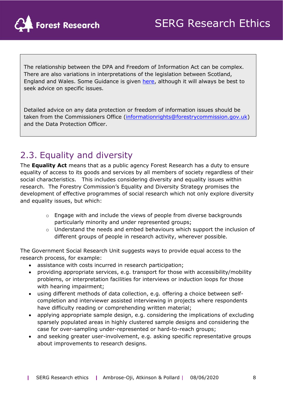

The relationship between the DPA and Freedom of Information Act can be complex. There are also variations in interpretations of the legislation between Scotland, England and Wales. Some Guidance is given [here,](https://forestresearch.sharepoint.com/sites/FR_Intranet_CEOOffice/GDPR%20Information%20Asset%20Owners/GDPR/GDPR%20GUIDANCE.PDF) although it will always be best to seek advice on specific issues.

Detailed advice on any data protection or freedom of information issues should be taken from the Commissioners Office [\(informationrights@forestrycommission.gov.uk\)](mailto:informationrights@forestrycommission.gov.uk) and the Data Protection Officer.

## <span id="page-7-0"></span>2.3. Equality and diversity

The **Equality Act** means that as a public agency Forest Research has a duty to ensure equality of access to its goods and services by all members of society regardless of their social characteristics. This includes considering diversity and equality issues within research. The Forestry Commission's Equality and Diversity Strategy promises the development of effective programmes of social research which not only explore diversity and equality issues, but which:

- o Engage with and include the views of people from diverse backgrounds particularly minority and under represented groups;
- o Understand the needs and embed behaviours which support the inclusion of different groups of people in research activity, wherever possible.

The Government Social Research Unit suggests ways to provide equal access to the research process, for example:

- assistance with costs incurred in research participation;
- providing appropriate services, e.g. transport for those with accessibility/mobility problems, or interpretation facilities for interviews or induction loops for those with hearing impairment;
- using different methods of data collection, e.g. offering a choice between selfcompletion and interviewer assisted interviewing in projects where respondents have difficulty reading or comprehending written material;
- applying appropriate sample design, e.g. considering the implications of excluding sparsely populated areas in highly clustered sample designs and considering the case for over-sampling under-represented or hard-to-reach groups;
- and seeking greater user-involvement, e.g. asking specific representative groups about improvements to research designs.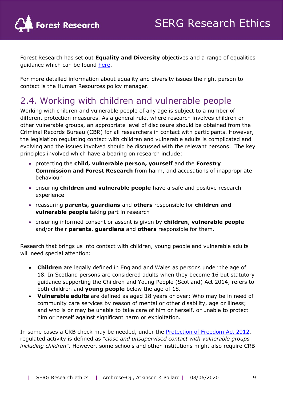

Forest Research has set out **Equality and Diversity** objectives and a range of equalities guidance which can be found [here.](https://forestresearch.sharepoint.com/sites/FR_Intranet_HumanResources/Other%20HR%20guidance%20%20information/Equality%20&%20Diversity%20Objectives.pdf)

For more detailed information about equality and diversity issues the right person to contact is the Human Resources policy manager.

## <span id="page-8-0"></span>2.4. Working with children and vulnerable people

Working with children and vulnerable people of any age is subject to a number of different protection measures. As a general rule, where research involves children or other vulnerable groups, an appropriate level of disclosure should be obtained from the Criminal Records Bureau (CBR) for all researchers in contact with participants. However, the legislation regulating contact with children and vulnerable adults is complicated and evolving and the issues involved should be discussed with the relevant persons. The key principles involved which have a bearing on research include:

- protecting the **child, vulnerable person, yourself** and the **Forestry Commission and Forest Research** from harm, and accusations of inappropriate behaviour
- ensuring **children and vulnerable people** have a safe and positive research experience
- reassuring **parents, guardians** and **others** responsible for **children and vulnerable people** taking part in research
- ensuring informed consent or assent is given by **children**, **vulnerable people** and/or their **parents**, **guardians** and **others** responsible for them.

Research that brings us into contact with children, young people and vulnerable adults will need special attention:

- **Children** are legally defined in England and Wales as persons under the age of 18. In Scotland persons are considered adults when they become 16 but statutory guidance supporting the Children and Young People (Scotland) Act 2014, refers to both children and **young people** below the age of 18.
- **Vulnerable adults** are defined as aged 18 years or over; Who may be in need of community care services by reason of mental or other disability, age or illness; and who is or may be unable to take care of him or herself, or unable to protect him or herself against significant harm or exploitation.

In some cases a CRB check may be needed, under the [Protection of Freedom Act 2012,](https://assets.publishing.service.gov.uk/government/uploads/system/uploads/attachment_data/file/118974/leaflet-england-wales.pdf) regulated activity is defined as "*close and unsupervised contact with vulnerable groups including children*". However, some schools and other institutions might also require CRB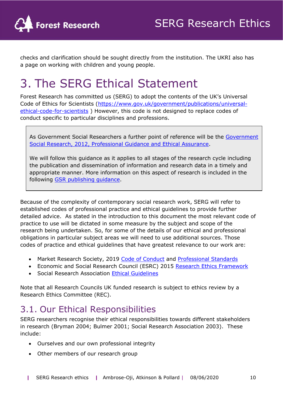

checks and clarification should be sought directly from the institution. The UKRI also has a page on working with children and young people.

# <span id="page-9-0"></span>3. The SERG Ethical Statement

Forest Research has committed us (SERG) to adopt the contents of the UK's Universal Code of Ethics for Scientists [\(https://www.gov.uk/government/publications/universal](https://www.gov.uk/government/publications/universal-ethical-code-for-scientists)[ethical-code-for-scientists](https://www.gov.uk/government/publications/universal-ethical-code-for-scientists) ) However, this code is not designed to replace codes of conduct specific to particular disciplines and professions.

As Government Social Researchers a further point of reference will be the [Government](https://assets.publishing.service.gov.uk/government/uploads/system/uploads/attachment_data/file/515296/ethics_guidance_tcm6-5782.pdf)  [Social Research, 2012, Professional Guidance and Ethical Assurance.](https://assets.publishing.service.gov.uk/government/uploads/system/uploads/attachment_data/file/515296/ethics_guidance_tcm6-5782.pdf)

We will follow this guidance as it applies to all stages of the research cycle including the publication and dissemination of information and research data in a timely and appropriate manner. More information on this aspect of research is included in the following [GSR publishing guidance.](https://assets.publishing.service.gov.uk/government/uploads/system/uploads/attachment_data/file/431367/GSR_publication_protocol_2015_FINAL.pdf)

Because of the complexity of contemporary social research work, SERG will refer to established codes of professional practice and ethical guidelines to provide further detailed advice. As stated in the introduction to this document the most relevant code of practice to use will be dictated in some measure by the subject and scope of the research being undertaken. So, for some of the details of our ethical and professional obligations in particular subject areas we will need to use additional sources. Those codes of practice and ethical guidelines that have greatest relevance to our work are:

- Market Research Society, 2019 [Code of Conduct](https://www.mrs.org.uk/pdf/MRS-Code-of-Conduct-2019.pdf) and [Professional Standards](https://www.mrs.org.uk/standards/ethics)
- Economic and Social Research Council (ESRC) 2015 [Research Ethics Framework](https://esrc.ukri.org/files/funding/guidance-for-applicants/esrc-framework-for-research-ethics-2015/)
- Social Research Association [Ethical Guidelines](https://the-sra.org.uk/common/Uploaded%20files/ethical%20guidelines%202003.pdf)

Note that all Research Councils UK funded research is subject to ethics review by a Research Ethics Committee (REC).

## <span id="page-9-1"></span>3.1. Our Ethical Responsibilities

SERG researchers recognise their ethical responsibilities towards different stakeholders in research (Bryman 2004; Bulmer 2001; Social Research Association 2003). These include:

- Ourselves and our own professional integrity
- Other members of our research group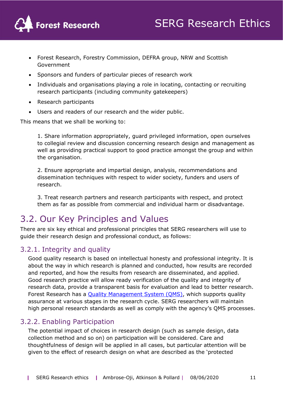

- Forest Research, Forestry Commission, DEFRA group, NRW and Scottish Government
- Sponsors and funders of particular pieces of research work
- Individuals and organisations playing a role in locating, contacting or recruiting research participants (including community gatekeepers)
- Research participants
- Users and readers of our research and the wider public.

This means that we shall be working to:

1. Share information appropriately, guard privileged information, open ourselves to collegial review and discussion concerning research design and management as well as providing practical support to good practice amongst the group and within the organisation.

2. Ensure appropriate and impartial design, analysis, recommendations and dissemination techniques with respect to wider society, funders and users of research.

3. Treat research partners and research participants with respect, and protect them as far as possible from commercial and individual harm or disadvantage.

## <span id="page-10-0"></span>3.2. Our Key Principles and Values

There are six key ethical and professional principles that SERG researchers will use to guide their research design and professional conduct, as follows:

## <span id="page-10-1"></span>3.2.1. Integrity and quality

Good quality research is based on intellectual honesty and professional integrity. It is about the way in which research is planned and conducted, how results are recorded and reported, and how the results from research are disseminated, and applied. Good research practice will allow ready verification of the quality and integrity of research data, provide a transparent basis for evaluation and lead to better research. Forest Research has a [Quality Management System \(QMS\),](https://forestresearch.sharepoint.com/sites/FR_Intranet_EMS/SitePages/Quality-Management-System-(QMS).aspx) which supports quality assurance at various stages in the research cycle. SERG researchers will maintain high personal research standards as well as comply with the agency's QMS processes.

## <span id="page-10-2"></span>3.2.2. Enabling Participation

The potential impact of choices in research design (such as sample design, data collection method and so on) on participation will be considered. Care and thoughtfulness of design will be applied in all cases, but particular attention will be given to the effect of research design on what are described as the 'protected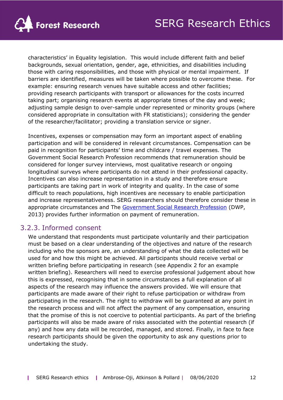

characteristics' in Equality legislation. This would include different faith and belief backgrounds, sexual orientation, gender, age, ethnicities, and disabilities including those with caring responsibilities, and those with physical or mental impairment. If barriers are identified, measures will be taken where possible to overcome these. For example: ensuring research venues have suitable access and other facilities; providing research participants with transport or allowances for the costs incurred taking part; organising research events at appropriate times of the day and week; adjusting sample design to over-sample under represented or minority groups (where considered appropriate in consultation with FR statisticians); considering the gender of the researcher/facilitator; providing a translation service or signer.

Incentives, expenses or compensation may form an important aspect of enabling participation and will be considered in relevant circumstances. Compensation can be paid in recognition for participants' time and childcare / travel expenses. The Government Social Research Profession recommends that remuneration should be considered for longer survey interviews, most qualitative research or ongoing longitudinal surveys where participants do not attend in their professional capacity. Incentives can also increase representation in a study and therefore ensure participants are taking part in work of integrity and quality. In the case of some difficult to reach populations, high incentives are necessary to enable participation and increase representativeness. SERG researchers should therefore consider these in appropriate circumstances and The [Government Social Research Profession](http://www.dwp.gov.uk/asd/asd5/WP11.pdf) (DWP, 2013) provides further information on payment of remuneration.

## <span id="page-11-0"></span>3.2.3. Informed consent

We understand that respondents must participate voluntarily and their participation must be based on a clear understanding of the objectives and nature of the research including who the sponsors are, an understanding of what the data collected will be used for and how this might be achieved. All participants should receive verbal or written briefing before participating in research (see Appendix 2 for an example written briefing). Researchers will need to exercise professional judgement about how this is expressed, recognising that in some circumstances a full explanation of all aspects of the research may influence the answers provided. We will ensure that participants are made aware of their right to refuse participation or withdraw from participating in the research. The right to withdraw will be guaranteed at any point in the research process and will not affect the payment of any compensation, ensuring that the promise of this is not coercive to potential participants. As part of the briefing participants will also be made aware of risks associated with the potential research (if any) and how any data will be recorded, managed, and stored. Finally, in face to face research participants should be given the opportunity to ask any questions prior to undertaking the study.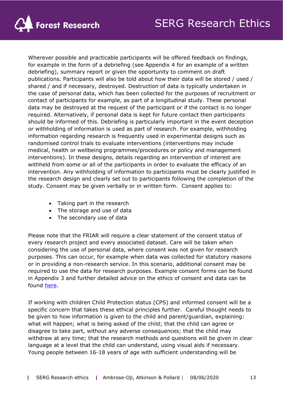

Wherever possible and practicable participants will be offered feedback on findings, for example in the form of a debriefing (see Appendix 4 for an example of a written debriefing), summary report or given the opportunity to comment on draft publications. Participants will also be told about how their data will be stored / used / shared / and if necessary, destroyed. Destruction of data is typically undertaken in the case of personal data, which has been collected for the purposes of recruitment or contact of participants for example, as part of a longitudinal study. These personal data may be destroyed at the request of the participant or if the contact is no longer required. Alternatively, if personal data is kept for future contact then participants should be informed of this. Debriefing is particularly important in the event deception or withholding of information is used as part of research. For example, withholding information regarding research is frequently used in experimental designs such as randomised control trials to evaluate interventions (interventions may include medical, health or wellbeing programmes/procedures or policy and management interventions). In these designs, details regarding an intervention of interest are withheld from some or all of the participants in order to evaluate the efficacy of an intervention. Any withholding of information to participants must be clearly justified in the research design and clearly set out to participants following the completion of the study. Consent may be given verbally or in written form. Consent applies to:

- Taking part in the research
- The storage and use of data
- The secondary use of data

Please note that the FRIAR will require a clear statement of the consent status of every research project and every associated dataset. Care will be taken when considering the use of personal data, where consent was not given for research purposes. This can occur, for example when data was collected for statutory reasons or in providing a non-research service. In this scenario, additional consent may be required to use the data for research purposes. Example consent forms can be found in Appendix 3 and further detailed advice on the ethics of consent and data can be found [here.](http://www.data-archive.ac.uk/create-manage/consent-ethics)

If working with children Child Protection status (CPS) and informed consent will be a specific concern that takes these ethical principles further. Careful thought needs to be given to how information is given to the child and parent/guardian, explaining: what will happen; what is being asked of the child; that the child can agree or disagree to take part, without any adverse consequences; that the child may withdraw at any time; that the research methods and questions will be given in clear language at a level that the child can understand, using visual aids if necessary. Young people between 16-18 years of age with sufficient understanding will be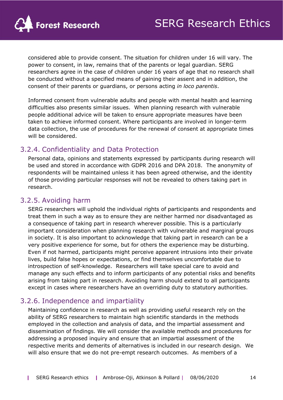

considered able to provide consent. The situation for children under 16 will vary. The power to consent, in law, remains that of the parents or legal guardian. SERG researchers agree in the case of children under 16 years of age that no research shall be conducted without a specified means of gaining their assent and in addition, the consent of their parents or guardians, or persons acting *in loco parentis*.

Informed consent from vulnerable adults and people with mental health and learning difficulties also presents similar issues. When planning research with vulnerable people additional advice will be taken to ensure appropriate measures have been taken to achieve informed consent. Where participants are involved in longer-term data collection, the use of procedures for the renewal of consent at appropriate times will be considered.

## <span id="page-13-0"></span>3.2.4. Confidentiality and Data Protection

Personal data, opinions and statements expressed by participants during research will be used and stored in accordance with GDPR 2016 and DPA 2018. The anonymity of respondents will be maintained unless it has been agreed otherwise, and the identity of those providing particular responses will not be revealed to others taking part in research.

## <span id="page-13-1"></span>3.2.5. Avoiding harm

SERG researchers will uphold the individual rights of participants and respondents and treat them in such a way as to ensure they are neither harmed nor disadvantaged as a consequence of taking part in research wherever possible. This is a particularly important consideration when planning research with vulnerable and marginal groups in society. It is also important to acknowledge that taking part in research can be a very positive experience for some, but for others the experience may be disturbing. Even if not harmed, participants might perceive apparent intrusions into their private lives, build false hopes or expectations, or find themselves uncomfortable due to introspection of self-knowledge. Researchers will take special care to avoid and manage any such effects and to inform participants of any potential risks and benefits arising from taking part in research. Avoiding harm should extend to all participants except in cases where researchers have an overriding duty to statutory authorities.

## <span id="page-13-2"></span>3.2.6. Independence and impartiality

Maintaining confidence in research as well as providing useful research rely on the ability of SERG researchers to maintain high scientific standards in the methods employed in the collection and analysis of data, and the impartial assessment and dissemination of findings. We will consider the available methods and procedures for addressing a proposed inquiry and ensure that an impartial assessment of the respective merits and demerits of alternatives is included in our research design. We will also ensure that we do not pre-empt research outcomes. As members of a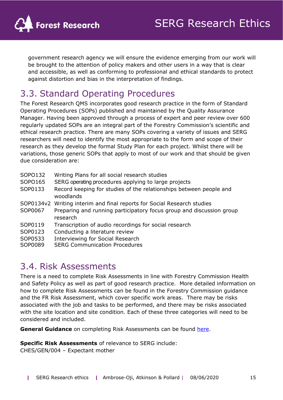

government research agency we will ensure the evidence emerging from our work will be brought to the attention of policy makers and other users in a way that is clear and accessible, as well as conforming to professional and ethical standards to protect against distortion and bias in the interpretation of findings.

## <span id="page-14-0"></span>3.3. Standard Operating Procedures

The Forest Research QMS incorporates good research practice in the form of Standard Operating Procedures (SOPs) published and maintained by the Quality Assurance Manager. Having been approved through a process of expert and peer review over 600 regularly updated SOPs are an integral part of the Forestry Commission's scientific and ethical research practice. There are many SOPs covering a variety of issues and SERG researchers will need to identify the most appropriate to the form and scope of their research as they develop the formal Study Plan for each project. Whilst there will be variations, those generic SOPs that apply to most of our work and that should be given due consideration are:

| SOPO132   | Writing Plans for all social research studies                                    |
|-----------|----------------------------------------------------------------------------------|
| SOPO165   | SERG operating procedures applying to large projects                             |
| SOP0133   | Record keeping for studies of the relationships between people and<br>woodlands  |
| SOP0134v2 | Writing interim and final reports for Social Research studies                    |
| SOP0067   | Preparing and running participatory focus group and discussion group<br>research |
| SOP0119   | Transcription of audio recordings for social research                            |
| SOP0123   | Conducting a literature review                                                   |
| SOP0533   | <b>Interviewing for Social Research</b>                                          |
| SOP0089   | <b>SERG Communication Procedures</b>                                             |

## <span id="page-14-1"></span>3.4. Risk Assessments

There is a need to complete Risk Assessments in line with Forestry Commission Health and Safety Policy as well as part of good research practice. More detailed information on how to complete Risk Assessments can be found in the Forestry Commission guidance and the FR Risk Assessment, which cover specific work areas. There may be risks associated with the job and tasks to be performed, and there may be risks associated with the site location and site condition. Each of these three categories will need to be considered and included.

**General Guidance** on completing Risk Assessments can be found [here.](https://forestresearch.sharepoint.com/sites/FR_Intranet_HealthAndSafety/Health%20and%20Saftey/Risk%20Assessment%20OGB%2024/Risk-Assessment---FISA-Info-Leaflet-002-1214-rev-1215.pdf)

**Specific Risk Assessments** of relevance to SERG include:

CHES/GEN/004 – Expectant mother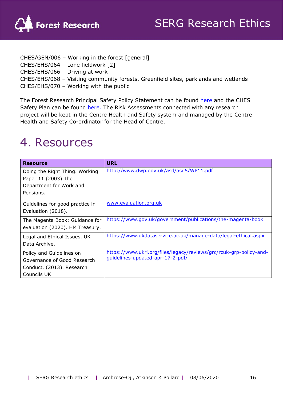

CHES/GEN/006 – Working in the forest [general] CHES/EHS/064 – Lone fieldwork [2] CHES/EHS/066 – Driving at work CHES/EHS/068 – Visiting community forests, Greenfield sites, parklands and wetlands CHES/EHS/070 – Working with the public

The Forest Research Principal Safety Policy Statement can be found [here](https://forestresearch.sharepoint.com/sites/FR_Intranet_HealthAndSafety/SitePages/The-Construction-(Design-and-Management)-Regulations-2015-(CDM-2015).aspx) and the CHES Safety Plan can be found [here.](https://forestresearch.sharepoint.com/sites/FR_Intranet_CentreForESB/Mark%20Ferryman/Forms/AllItems.aspx?RootFolder=%2Fsites%2FFR%5FIntranet%5FCentreForESB%2FMark%20Ferryman%2FHealth%20and%20Safety%20Plan&FolderCTID=0x01200097324FB124BF56439515B21299273E2B) The Risk Assessments connected with any research project will be kept in the Centre Health and Safety system and managed by the Centre Health and Safety Co-ordinator for the Head of Centre.

# <span id="page-15-0"></span>4. Resources

| <b>Resource</b>                                                                                     | <b>URL</b>                                                                                             |
|-----------------------------------------------------------------------------------------------------|--------------------------------------------------------------------------------------------------------|
| Doing the Right Thing. Working<br>Paper 11 (2003) The<br>Department for Work and<br>Pensions.       | http://www.dwp.gov.uk/asd/asd5/WP11.pdf                                                                |
| Guidelines for good practice in<br>Evaluation (2018).                                               | www.evaluation.org.uk                                                                                  |
| The Magenta Book: Guidance for<br>evaluation (2020). HM Treasury.                                   | https://www.gov.uk/government/publications/the-magenta-book                                            |
| Legal and Ethical Issues. UK<br>Data Archive.                                                       | https://www.ukdataservice.ac.uk/manage-data/legal-ethical.aspx                                         |
| Policy and Guidelines on<br>Governance of Good Research<br>Conduct. (2013). Research<br>Councils UK | https://www.ukri.org/files/legacy/reviews/grc/rcuk-grp-policy-and-<br>guidelines-updated-apr-17-2-pdf/ |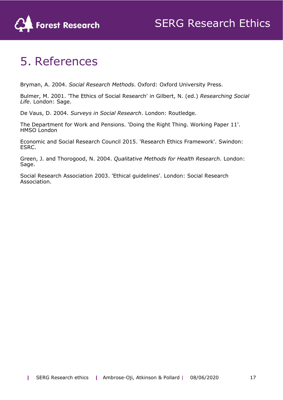

# <span id="page-16-0"></span>5. References

Bryman, A. 2004. *Social Research Methods*. Oxford: Oxford University Press.

Bulmer, M. 2001. 'The Ethics of Social Research' in Gilbert, N. (ed.) *Researching Social Life*. London: Sage.

De Vaus, D. 2004. *Surveys in Social Research*. London: Routledge.

The Department for Work and Pensions. 'Doing the Right Thing. Working Paper 11'. HMSO London

Economic and Social Research Council 2015. 'Research Ethics Framework'. Swindon: ESRC.

Green, J. and Thorogood, N. 2004. *Qualitative Methods for Health Research*. London: Sage.

Social Research Association 2003. 'Ethical guidelines'. London: Social Research Association.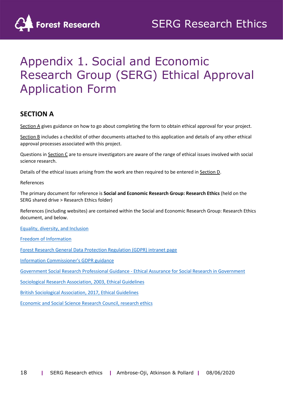

# Appendix 1. Social and Economic Research Group (SERG) Ethical Approval Application Form

## **SECTION A**

Section A gives guidance on how to go about completing the form to obtain ethical approval for your project.

Section B includes a checklist of other documents attached to this application and details of any other ethical approval processes associated with this project.

Questions in Section C are to ensure investigators are aware of the range of ethical issues involved with social science research.

Details of the ethical issues arising from the work are then required to be entered in Section D.

References

The primary document for reference is **Social and Economic Research Group: Research Ethics** (held on the SERG shared drive > Research Ethics folder)

References (including websites) are contained within the Social and Economic Research Group: Research Ethics document, and below.

[Equality, diversity, and Inclusion](http://alpacorn.forestry.gov.uk:7777/portal/page?_pageid=33,2555345&_dad=portal&_schema=PORTAL)

[Freedom of Information](http://alpacorn.forestry.gov.uk:7777/portal/page?_pageid=33,1633695&_dad=portal&_schema=PORTAL)

[Forest Research General Data Protection Regulation \(GDPR\) intranet page](http://alpacorn.forestry.gov.uk:7777/portal/page?_pageid=33,2625892&_dad=portal&_schema=PORTAL)

[Information Commissioner's GDPR guidance](https://ico.org.uk/for-organisations/guide-to-data-protection/guide-to-the-general-data-protection-regulation-gdpr/)

[Government Social Research Professional Guidance -](https://www.gov.uk/government/publications/ethical-assurance-guidance-for-social-research-in-government) Ethical Assurance for Social Research in Government

[Sociological Research Association, 2003, Ethical Guidelines](http://the-sra.org.uk/research-ethics/ethics-guidelines/)

[British Sociological Association, 2017, Ethical Guidelines](https://www.britsoc.co.uk/ethics)

[Economic and Social Science Research Council, research ethics](https://esrc.ukri.org/funding/guidance-for-applicants/research-ethics/)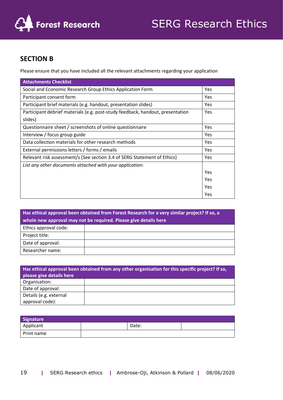

## **SECTION B**

Please ensure that you have included all the relevant attachments regarding your application

| <b>Attachments Checklist</b>                                                   |            |
|--------------------------------------------------------------------------------|------------|
| Social and Economic Research Group Ethics Application Form                     | Yes        |
| Participant consent form                                                       | Yes        |
| Participant brief materials (e.g. handout, presentation slides)                | Yes        |
| Participant debrief materials (e.g. post-study feedback, handout, presentation | Yes        |
| slides)                                                                        |            |
| Questionnaire sheet / screenshots of online questionnaire                      | Yes        |
| Interview / focus group guide                                                  | Yes        |
| Data collection materials for other research methods                           | <b>Yes</b> |
| External permissions letters / forms / emails                                  | Yes        |
| Relevant risk assessment/s (See section 3.4 of SERG Statement of Ethics)       | Yes        |
| List any other documents attached with your application:                       |            |
|                                                                                | Yes        |
|                                                                                | Yes        |
|                                                                                | Yes        |
|                                                                                | Yes        |

| Has ethical approval been obtained from Forest Research for a very similar project? If so, a |  |  |  |  |  |  |
|----------------------------------------------------------------------------------------------|--|--|--|--|--|--|
| whole new approval may not be required. Please give details here                             |  |  |  |  |  |  |
| Ethics approval code:                                                                        |  |  |  |  |  |  |
| Project title:                                                                               |  |  |  |  |  |  |
| Date of approval:                                                                            |  |  |  |  |  |  |
| Researcher name:                                                                             |  |  |  |  |  |  |

| Has ethical approval been obtained from any other organisation for this specific project? If so,<br>please give details here |  |  |  |  |
|------------------------------------------------------------------------------------------------------------------------------|--|--|--|--|
| Organisation:                                                                                                                |  |  |  |  |
| Date of approval:                                                                                                            |  |  |  |  |
| Details (e.g. external                                                                                                       |  |  |  |  |
| approval code):                                                                                                              |  |  |  |  |

| Signature  |       |  |
|------------|-------|--|
| Applicant  | Date: |  |
| Print name |       |  |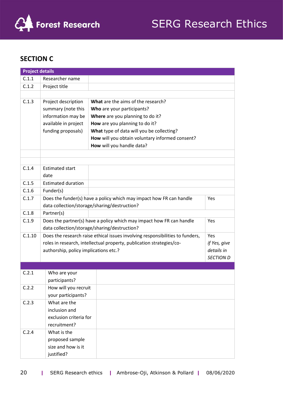

## **SECTION C**

| <b>Project details</b> |                                                                             |                                                                               |                  |  |  |  |
|------------------------|-----------------------------------------------------------------------------|-------------------------------------------------------------------------------|------------------|--|--|--|
| C.1.1                  | Researcher name                                                             |                                                                               |                  |  |  |  |
| C.1.2                  | Project title                                                               |                                                                               |                  |  |  |  |
|                        |                                                                             |                                                                               |                  |  |  |  |
| C.1.3                  | Project description                                                         | What are the aims of the research?                                            |                  |  |  |  |
|                        | summary (note this                                                          | Who are your participants?                                                    |                  |  |  |  |
|                        | information may be                                                          | Where are you planning to do it?                                              |                  |  |  |  |
|                        | available in project                                                        | How are you planning to do it?                                                |                  |  |  |  |
|                        | funding proposals)                                                          | What type of data will you be collecting?                                     |                  |  |  |  |
|                        |                                                                             | How will you obtain voluntary informed consent?                               |                  |  |  |  |
|                        |                                                                             | How will you handle data?                                                     |                  |  |  |  |
|                        |                                                                             |                                                                               |                  |  |  |  |
|                        |                                                                             |                                                                               |                  |  |  |  |
| C.1.4                  | <b>Estimated start</b>                                                      |                                                                               |                  |  |  |  |
|                        | date                                                                        |                                                                               |                  |  |  |  |
| C.1.5                  | <b>Estimated duration</b>                                                   |                                                                               |                  |  |  |  |
| C.1.6                  | Funder(s)                                                                   |                                                                               |                  |  |  |  |
| C.1.7                  | Does the funder(s) have a policy which may impact how FR can handle<br>Yes  |                                                                               |                  |  |  |  |
|                        |                                                                             | data collection/storage/sharing/destruction?                                  |                  |  |  |  |
| C.1.8                  | Partner(s)                                                                  |                                                                               |                  |  |  |  |
| C.1.9                  | Does the partner(s) have a policy which may impact how FR can handle<br>Yes |                                                                               |                  |  |  |  |
|                        |                                                                             | data collection/storage/sharing/destruction?                                  |                  |  |  |  |
| C.1.10                 |                                                                             | Does the research raise ethical issues involving responsibilities to funders, | Yes              |  |  |  |
|                        |                                                                             | roles in research, intellectual property, publication strategies/co-          | if Yes, give     |  |  |  |
|                        | authorship, policy implications etc.?                                       |                                                                               | details in       |  |  |  |
|                        |                                                                             |                                                                               | <b>SECTION D</b> |  |  |  |
|                        |                                                                             |                                                                               |                  |  |  |  |
| C.2.1                  | Who are your                                                                |                                                                               |                  |  |  |  |
|                        | participants?                                                               |                                                                               |                  |  |  |  |
| C.2.2                  | How will you recruit                                                        |                                                                               |                  |  |  |  |
|                        | your participants?                                                          |                                                                               |                  |  |  |  |
| C.2.3                  | What are the                                                                |                                                                               |                  |  |  |  |
|                        | inclusion and                                                               |                                                                               |                  |  |  |  |
|                        | exclusion criteria for                                                      |                                                                               |                  |  |  |  |
| C.2.4                  | recruitment?<br>What is the                                                 |                                                                               |                  |  |  |  |
|                        |                                                                             |                                                                               |                  |  |  |  |
|                        | proposed sample                                                             |                                                                               |                  |  |  |  |
|                        | size and how is it                                                          |                                                                               |                  |  |  |  |
|                        | justified?                                                                  |                                                                               |                  |  |  |  |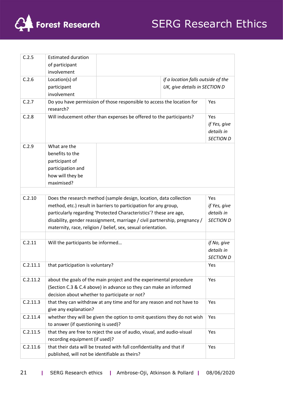

| C.2.5    | <b>Estimated duration</b>                      |                                                                            |                  |
|----------|------------------------------------------------|----------------------------------------------------------------------------|------------------|
|          | of participant                                 |                                                                            |                  |
|          | involvement                                    |                                                                            |                  |
| C.2.6    | Location(s) of                                 | if a location falls outside of the                                         |                  |
|          | participant                                    | UK, give details in SECTION D                                              |                  |
|          | involvement                                    |                                                                            |                  |
| C.2.7    |                                                | Do you have permission of those responsible to access the location for     | Yes              |
|          | research?                                      |                                                                            |                  |
| C.2.8    |                                                | Will inducement other than expenses be offered to the participants?        | Yes              |
|          |                                                |                                                                            | if Yes, give     |
|          |                                                |                                                                            | details in       |
|          |                                                |                                                                            | <b>SECTION D</b> |
| C.2.9    | What are the                                   |                                                                            |                  |
|          | benefits to the                                |                                                                            |                  |
|          | participant of                                 |                                                                            |                  |
|          | participation and                              |                                                                            |                  |
|          | how will they be                               |                                                                            |                  |
|          | maximised?                                     |                                                                            |                  |
|          |                                                |                                                                            |                  |
| C.2.10   |                                                | Does the research method (sample design, location, data collection         | Yes              |
|          |                                                | method, etc.) result in barriers to participation for any group,           | if Yes, give     |
|          |                                                | particularly regarding 'Protected Characteristics'? these are age,         | details in       |
|          |                                                | disability, gender reassignment, marriage / civil partnership, pregnancy / | <b>SECTION D</b> |
|          |                                                | maternity, race, religion / belief, sex, sexual orientation.               |                  |
|          |                                                |                                                                            |                  |
| C.2.11   | Will the participants be informed              |                                                                            | if No, give      |
|          |                                                |                                                                            | details in       |
|          |                                                |                                                                            | <b>SECTION D</b> |
| C.2.11.1 | that participation is voluntary?               |                                                                            | Yes              |
|          |                                                |                                                                            |                  |
| C.2.11.2 |                                                | about the goals of the main project and the experimental procedure         | Yes              |
|          |                                                | (Section C.3 & C.4 above) in advance so they can make an informed          |                  |
|          |                                                | decision about whether to participate or not?                              |                  |
| C.2.11.3 |                                                | that they can withdraw at any time and for any reason and not have to      | Yes              |
|          | give any explanation?                          |                                                                            |                  |
| C.2.11.4 |                                                | whether they will be given the option to omit questions they do not wish   | Yes              |
|          | to answer (if questioning is used)?            |                                                                            |                  |
| C.2.11.5 |                                                | that they are free to reject the use of audio, visual, and audio-visual    | Yes              |
|          | recording equipment (if used)?                 |                                                                            |                  |
| C.2.11.6 |                                                | that their data will be treated with full confidentiality and that if      | Yes              |
|          | published, will not be identifiable as theirs? |                                                                            |                  |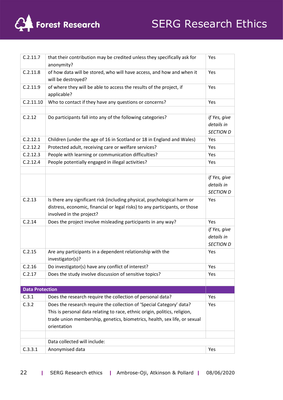

# SERG Research Ethics

| C.2.11.7               | that their contribution may be credited unless they specifically ask for<br>anonymity?                  | Yes                                            |
|------------------------|---------------------------------------------------------------------------------------------------------|------------------------------------------------|
| C.2.11.8               | of how data will be stored, who will have access, and how and when it<br>will be destroyed?             | Yes                                            |
| C.2.11.9               | of where they will be able to access the results of the project, if<br>applicable?                      | Yes                                            |
| C.2.11.10              | Who to contact if they have any questions or concerns?                                                  | Yes                                            |
|                        |                                                                                                         |                                                |
| C.2.12                 | Do participants fall into any of the following categories?                                              | if Yes, give<br>details in<br><b>SECTION D</b> |
| C.2.12.1               | Children (under the age of 16 in Scotland or 18 in England and Wales)                                   | Yes                                            |
| C.2.12.2               | Protected adult, receiving care or welfare services?                                                    | Yes                                            |
| C.2.12.3               | People with learning or communication difficulties?                                                     | Yes                                            |
| C.2.12.4               | People potentially engaged in illegal activities?                                                       | Yes                                            |
|                        |                                                                                                         |                                                |
|                        |                                                                                                         | if Yes, give                                   |
|                        |                                                                                                         | details in                                     |
|                        |                                                                                                         | <b>SECTION D</b>                               |
| C.2.13                 | Is there any significant risk (including physical, psychological harm or                                | Yes                                            |
|                        | distress, economic, financial or legal risks) to any participants, or those<br>involved in the project? |                                                |
| C.2.14                 | Does the project involve misleading participants in any way?                                            | Yes                                            |
|                        |                                                                                                         | if Yes, give                                   |
|                        |                                                                                                         | details in                                     |
|                        |                                                                                                         | <b>SECTION D</b>                               |
| C.2.15                 | Are any participants in a dependent relationship with the<br>investigator(s)?                           | Yes                                            |
| C.2.16                 | Do investigator(s) have any conflict of interest?                                                       | Yes                                            |
| C.2.17                 | Does the study involve discussion of sensitive topics?                                                  | Yes                                            |
|                        |                                                                                                         |                                                |
| <b>Data Protection</b> |                                                                                                         |                                                |
| C.3.1                  | Does the research require the collection of personal data?                                              | Yes                                            |
| C.3.2                  | Does the research require the collection of 'Special Category' data?                                    | Yes                                            |
|                        | This is personal data relating to race, ethnic origin, politics, religion,                              |                                                |
|                        | trade union membership, genetics, biometrics, health, sex life, or sexual                               |                                                |
|                        | orientation                                                                                             |                                                |
|                        |                                                                                                         |                                                |
|                        | Data collected will include:                                                                            |                                                |
| C.3.3.1                | Anonymised data                                                                                         | Yes                                            |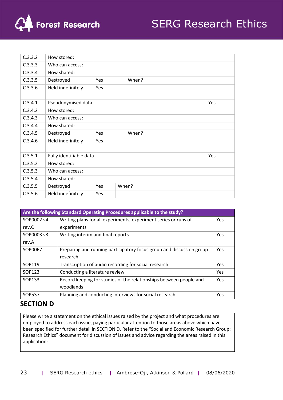

| C.3.3.2 | How stored:             |     |       |  |  |     |
|---------|-------------------------|-----|-------|--|--|-----|
| C.3.3.3 | Who can access:         |     |       |  |  |     |
| C.3.3.4 | How shared:             |     |       |  |  |     |
| C.3.3.5 | Destroyed               | Yes | When? |  |  |     |
| C.3.3.6 | Held indefinitely       | Yes |       |  |  |     |
|         |                         |     |       |  |  |     |
| C.3.4.1 | Pseudonymised data      |     |       |  |  | Yes |
| C.3.4.2 | How stored:             |     |       |  |  |     |
| C.3.4.3 | Who can access:         |     |       |  |  |     |
| C.3.4.4 | How shared:             |     |       |  |  |     |
| C.3.4.5 | Destroyed               | Yes | When? |  |  |     |
| C.3.4.6 | Held indefinitely       | Yes |       |  |  |     |
|         |                         |     |       |  |  |     |
| C.3.5.1 | Fully identifiable data |     |       |  |  | Yes |
| C.3.5.2 | How stored:             |     |       |  |  |     |
| C.3.5.3 | Who can access:         |     |       |  |  |     |
| C.3.5.4 | How shared:             |     |       |  |  |     |
| C.3.5.5 | Destroyed               | Yes | When? |  |  |     |
| C.3.5.6 | Held indefinitely       | Yes |       |  |  |     |

| Are the following Standard Operating Procedures applicable to the study? |                                                                      |            |  |  |
|--------------------------------------------------------------------------|----------------------------------------------------------------------|------------|--|--|
| SOP0002 v4                                                               | Writing plans for all experiments, experiment series or runs of      | Yes        |  |  |
| rev.C                                                                    | experiments                                                          |            |  |  |
| SOP0003 v3                                                               | Writing interim and final reports                                    | Yes        |  |  |
| rev.A                                                                    |                                                                      |            |  |  |
| SOP0067                                                                  | Preparing and running participatory focus group and discussion group | Yes        |  |  |
|                                                                          | research                                                             |            |  |  |
| SOP119                                                                   | Transcription of audio recording for social research                 | Yes        |  |  |
| SOP123                                                                   | Conducting a literature review                                       | Yes        |  |  |
| SOP133                                                                   | Record keeping for studies of the relationships between people and   | <b>Yes</b> |  |  |
|                                                                          | woodlands                                                            |            |  |  |
| <b>SOP537</b>                                                            | Planning and conducting interviews for social research               | Yes        |  |  |

### **SECTION D**

Please write a statement on the ethical issues raised by the project and what procedures are employed to address each issue, paying particular attention to those areas above which have been specified for further detail in SECTION D. Refer to the "Social and Economic Research Group: Research Ethics" document for discussion of issues and advice regarding the areas raised in this application: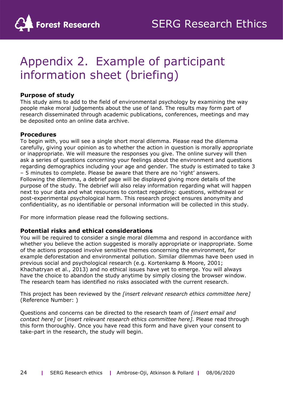

# Appendix 2. Example of participant information sheet (briefing)

#### **Purpose of study**

This study aims to add to the field of environmental psychology by examining the way people make moral judgements about the use of land. The results may form part of research disseminated through academic publications, conferences, meetings and may be deposited onto an online data archive.

#### **Procedures**

To begin with, you will see a single short moral dilemma. Please read the dilemma carefully, giving your opinion as to whether the action in question is morally appropriate or inappropriate. We will measure the responses you give. The online survey will then ask a series of questions concerning your feelings about the environment and questions regarding demographics including your age and gender. The study is estimated to take 3 – 5 minutes to complete. Please be aware that there are no 'right' answers. Following the dilemma, a debrief page will be displayed giving more details of the purpose of the study. The debrief will also relay information regarding what will happen next to your data and what resources to contact regarding: questions, withdrawal or post-experimental psychological harm. This research project ensures anonymity and confidentiality, as no identifiable or personal information will be collected in this study.

For more information please read the following sections.

#### **Potential risks and ethical considerations**

You will be required to consider a single moral dilemma and respond in accordance with whether you believe the action suggested is morally appropriate or inappropriate. Some of the actions proposed involve sensitive themes concerning the environment, for example deforestation and environmental pollution. Similar dilemmas have been used in previous social and psychological research (e.g. Kortenkamp & Moore, 2001; Khachatryan et al., 2013) and no ethical issues have yet to emerge. You will always have the choice to abandon the study anytime by simply closing the browser window. The research team has identified no risks associated with the current research.

This project has been reviewed by the *[insert relevant research ethics committee here]*  (Reference Number: )

Questions and concerns can be directed to the research team of *[insert email and contact here]* or [*insert relevant research ethics committee here].* Please read through this form thoroughly. Once you have read this form and have given your consent to take-part in the research, the study will begin.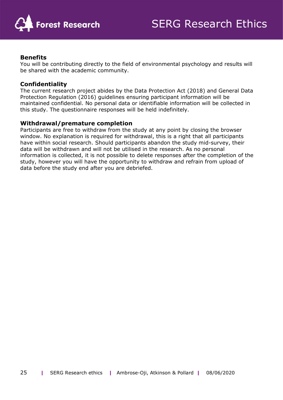

#### **Benefits**

You will be contributing directly to the field of environmental psychology and results will be shared with the academic community.

#### **Confidentiality**

The current research project abides by the Data Protection Act (2018) and General Data Protection Regulation (2016) guidelines ensuring participant information will be maintained confidential. No personal data or identifiable information will be collected in this study. The questionnaire responses will be held indefinitely.

#### **Withdrawal/premature completion**

Participants are free to withdraw from the study at any point by closing the browser window. No explanation is required for withdrawal, this is a right that all participants have within social research. Should participants abandon the study mid-survey, their data will be withdrawn and will not be utilised in the research. As no personal information is collected, it is not possible to delete responses after the completion of the study, however you will have the opportunity to withdraw and refrain from upload of data before the study end after you are debriefed.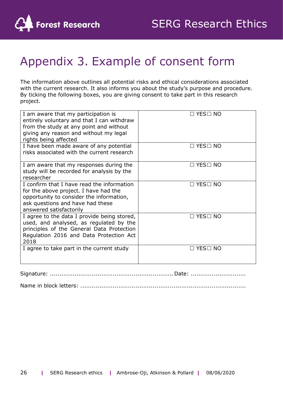

# Appendix 3. Example of consent form

The information above outlines all potential risks and ethical considerations associated with the current research. It also informs you about the study's purpose and procedure. By ticking the following boxes, you are giving consent to take part in this research project.

| I am aware that my participation is<br>entirely voluntary and that I can withdraw<br>from the study at any point and without<br>giving any reason and without my legal<br>rights being affected | $\Box$ YES $\Box$ NO |
|-------------------------------------------------------------------------------------------------------------------------------------------------------------------------------------------------|----------------------|
| I have been made aware of any potential<br>risks associated with the current research                                                                                                           | $\Box$ YES $\Box$ NO |
| I am aware that my responses during the<br>study will be recorded for analysis by the<br>researcher                                                                                             | $\Box$ YES $\Box$ NO |
| I confirm that I have read the information<br>for the above project. I have had the<br>opportunity to consider the information,<br>ask questions and have had these<br>answered satisfactorily  | $\Box$ YES $\Box$ NO |
| I agree to the data I provide being stored,<br>used, and analysed, as regulated by the<br>principles of the General Data Protection<br>Regulation 2016 and Data Protection Act<br>2018          | $\Box$ YES $\Box$ NO |
| I agree to take part in the current study                                                                                                                                                       | $\Box$ YES $\Box$ NO |

Signature: .................................................................Date: .............................

Name in block letters: .......................................................................................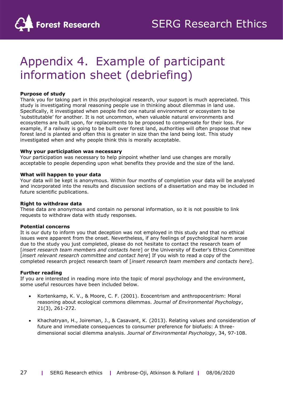

# Appendix 4. Example of participant information sheet (debriefing)

#### **Purpose of study**

Thank you for taking part in this psychological research, your support is much appreciated. This study is investigating moral reasoning people use in thinking about dilemmas in land use. Specifically, it investigated when people find one natural environment or ecosystem to be 'substitutable' for another. It is not uncommon, when valuable natural environments and ecosystems are built upon, for replacements to be proposed to compensate for their loss. For example, if a railway is going to be built over forest land, authorities will often propose that new forest land is planted and often this is greater in size than the land being lost. This study investigated when and why people think this is morally acceptable.

#### **Why your participation was necessary**

Your participation was necessary to help pinpoint whether land use changes are morally acceptable to people depending upon what benefits they provide and the size of the land.

#### **What will happen to your data**

Your data will be kept is anonymous. Within four months of completion your data will be analysed and incorporated into the results and discussion sections of a dissertation and may be included in future scientific publications.

#### **Right to withdraw data**

These data are anonymous and contain no personal information, so it is not possible to link requests to withdraw data with study responses.

#### **Potential concerns**

It is our duty to inform you that deception was not employed in this study and that no ethical issues were apparent from the onset. Nevertheless, if any feelings of psychological harm arose due to the study you just completed, please do not hesitate to contact the research team of [*insert research team members and contacts here*] or the University of Exeter's Ethics Committee [*insert relevant research committee and contact here*] If you wish to read a copy of the completed research project research team of [*insert research team members and contacts here*].

#### **Further reading**

If you are interested in reading more into the topic of moral psychology and the environment, some useful resources have been included below.

- Kortenkamp, K. V., & Moore, C. F. (2001). Ecocentrism and anthropocentrism: Moral reasoning about ecological commons dilemmas. *Journal of Environmental Psychology*, 21(3), 261-272.
- Khachatryan, H., Joireman, J., & Casavant, K. (2013). Relating values and consideration of future and immediate consequences to consumer preference for biofuels: A threedimensional social dilemma analysis. *Journal of Environmental Psychology*, 34, 97-108.